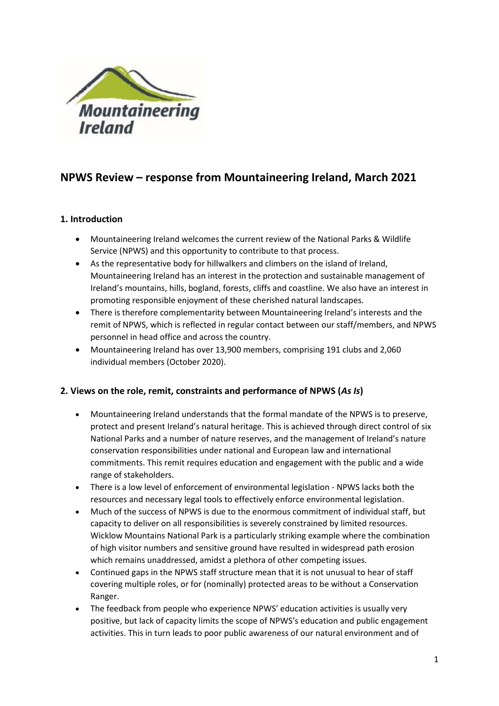

# **NPWS Review – response from Mountaineering Ireland, March 2021**

## **1. Introduction**

- Mountaineering Ireland welcomes the current review of the National Parks & Wildlife Service (NPWS) and this opportunity to contribute to that process.
- As the representative body for hillwalkers and climbers on the island of Ireland, Mountaineering Ireland has an interest in the protection and sustainable management of Ireland's mountains, hills, bogland, forests, cliffs and coastline. We also have an interest in promoting responsible enjoyment of these cherished natural landscapes.
- There is therefore complementarity between Mountaineering Ireland's interests and the remit of NPWS, which is reflected in regular contact between our staff/members, and NPWS personnel in head office and across the country.
- Mountaineering Ireland has over 13,900 members, comprising 191 clubs and 2,060 individual members (October 2020).

#### **2. Views on the role, remit, constraints and performance of NPWS (***As Is***)**

- Mountaineering Ireland understands that the formal mandate of the NPWS is to preserve, protect and present Ireland's natural heritage. This is achieved through direct control of six National Parks and a number of nature reserves, and the management of Ireland's nature conservation responsibilities under national and European law and international commitments. This remit requires education and engagement with the public and a wide range of stakeholders.
- There is a low level of enforcement of environmental legislation NPWS lacks both the resources and necessary legal tools to effectively enforce environmental legislation.
- Much of the success of NPWS is due to the enormous commitment of individual staff, but capacity to deliver on all responsibilities is severely constrained by limited resources. Wicklow Mountains National Park is a particularly striking example where the combination of high visitor numbers and sensitive ground have resulted in widespread path erosion which remains unaddressed, amidst a plethora of other competing issues.
- Continued gaps in the NPWS staff structure mean that it is not unusual to hear of staff covering multiple roles, or for (nominally) protected areas to be without a Conservation Ranger.
- The feedback from people who experience NPWS' education activities is usually very positive, but lack of capacity limits the scope of NPWS's education and public engagement activities. This in turn leads to poor public awareness of our natural environment and of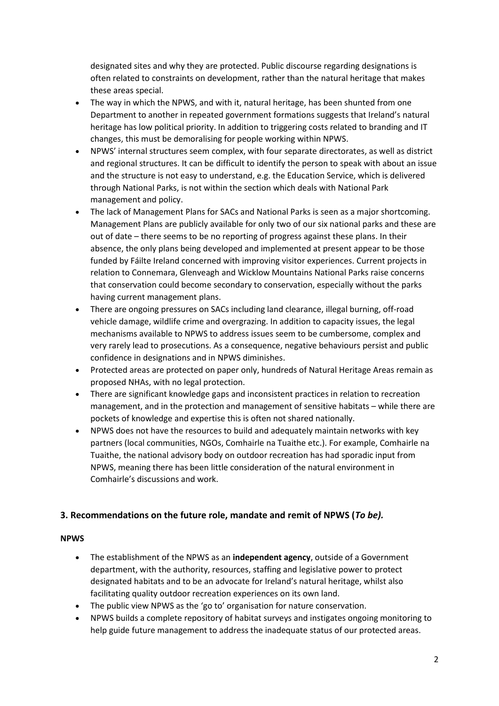designated sites and why they are protected. Public discourse regarding designations is often related to constraints on development, rather than the natural heritage that makes these areas special.

- The way in which the NPWS, and with it, natural heritage, has been shunted from one Department to another in repeated government formations suggests that Ireland's natural heritage has low political priority. In addition to triggering costs related to branding and IT changes, this must be demoralising for people working within NPWS.
- NPWS' internal structures seem complex, with four separate directorates, as well as district and regional structures. It can be difficult to identify the person to speak with about an issue and the structure is not easy to understand, e.g. the Education Service, which is delivered through National Parks, is not within the section which deals with National Park management and policy.
- The lack of Management Plans for SACs and National Parks is seen as a major shortcoming. Management Plans are publicly available for only two of our six national parks and these are out of date – there seems to be no reporting of progress against these plans. In their absence, the only plans being developed and implemented at present appear to be those funded by Fáilte Ireland concerned with improving visitor experiences. Current projects in relation to Connemara, Glenveagh and Wicklow Mountains National Parks raise concerns that conservation could become secondary to conservation, especially without the parks having current management plans.
- There are ongoing pressures on SACs including land clearance, illegal burning, off-road vehicle damage, wildlife crime and overgrazing. In addition to capacity issues, the legal mechanisms available to NPWS to address issues seem to be cumbersome, complex and very rarely lead to prosecutions. As a consequence, negative behaviours persist and public confidence in designations and in NPWS diminishes.
- Protected areas are protected on paper only, hundreds of Natural Heritage Areas remain as proposed NHAs, with no legal protection.
- There are significant knowledge gaps and inconsistent practices in relation to recreation management, and in the protection and management of sensitive habitats – while there are pockets of knowledge and expertise this is often not shared nationally.
- NPWS does not have the resources to build and adequately maintain networks with key partners (local communities, NGOs, Comhairle na Tuaithe etc.). For example, Comhairle na Tuaithe, the national advisory body on outdoor recreation has had sporadic input from NPWS, meaning there has been little consideration of the natural environment in Comhairle's discussions and work.

## **3. Recommendations on the future role, mandate and remit of NPWS (***To be).*

#### **NPWS**

- The establishment of the NPWS as an **independent agency**, outside of a Government department, with the authority, resources, staffing and legislative power to protect designated habitats and to be an advocate for Ireland's natural heritage, whilst also facilitating quality outdoor recreation experiences on its own land.
- The public view NPWS as the 'go to' organisation for nature conservation.
- NPWS builds a complete repository of habitat surveys and instigates ongoing monitoring to help guide future management to address the inadequate status of our protected areas.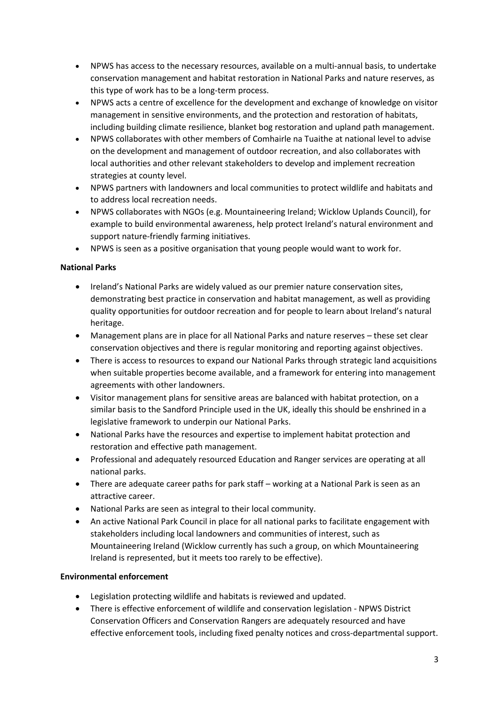- NPWS has access to the necessary resources, available on a multi-annual basis, to undertake conservation management and habitat restoration in National Parks and nature reserves, as this type of work has to be a long-term process.
- NPWS acts a centre of excellence for the development and exchange of knowledge on visitor management in sensitive environments, and the protection and restoration of habitats, including building climate resilience, blanket bog restoration and upland path management.
- NPWS collaborates with other members of Comhairle na Tuaithe at national level to advise on the development and management of outdoor recreation, and also collaborates with local authorities and other relevant stakeholders to develop and implement recreation strategies at county level.
- NPWS partners with landowners and local communities to protect wildlife and habitats and to address local recreation needs.
- NPWS collaborates with NGOs (e.g. Mountaineering Ireland; Wicklow Uplands Council), for example to build environmental awareness, help protect Ireland's natural environment and support nature-friendly farming initiatives.
- NPWS is seen as a positive organisation that young people would want to work for.

#### **National Parks**

- Ireland's National Parks are widely valued as our premier nature conservation sites, demonstrating best practice in conservation and habitat management, as well as providing quality opportunities for outdoor recreation and for people to learn about Ireland's natural heritage.
- Management plans are in place for all National Parks and nature reserves these set clear conservation objectives and there is regular monitoring and reporting against objectives.
- There is access to resources to expand our National Parks through strategic land acquisitions when suitable properties become available, and a framework for entering into management agreements with other landowners.
- Visitor management plans for sensitive areas are balanced with habitat protection, on a similar basis to the Sandford Principle used in the UK, ideally this should be enshrined in a legislative framework to underpin our National Parks.
- National Parks have the resources and expertise to implement habitat protection and restoration and effective path management.
- Professional and adequately resourced Education and Ranger services are operating at all national parks.
- There are adequate career paths for park staff working at a National Park is seen as an attractive career.
- National Parks are seen as integral to their local community.
- An active National Park Council in place for all national parks to facilitate engagement with stakeholders including local landowners and communities of interest, such as Mountaineering Ireland (Wicklow currently has such a group, on which Mountaineering Ireland is represented, but it meets too rarely to be effective).

#### **Environmental enforcement**

- Legislation protecting wildlife and habitats is reviewed and updated.
- There is effective enforcement of wildlife and conservation legislation NPWS District Conservation Officers and Conservation Rangers are adequately resourced and have effective enforcement tools, including fixed penalty notices and cross-departmental support.